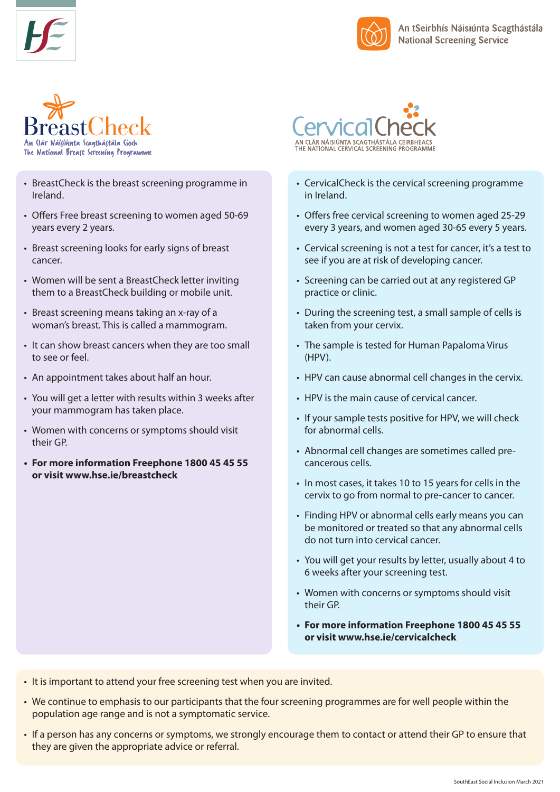





- BreastCheck is the breast screening programme in Ireland.
- Offers Free breast screening to women aged 50-69 years every 2 years.
- Breast screening looks for early signs of breast cancer.
- Women will be sent a BreastCheck letter inviting them to a BreastCheck building or mobile unit.
- Breast screening means taking an x-ray of a woman's breast. This is called a mammogram.
- It can show breast cancers when they are too small to see or feel.
- An appointment takes about half an hour.
- You will get a letter with results within 3 weeks after your mammogram has taken place.
- Women with concerns or symptoms should visit their GP.
- **• For more information Freephone 1800 45 45 55 or visit www.hse.ie/breastcheck**



- CervicalCheck is the cervical screening programme in Ireland.
- Offers free cervical screening to women aged 25-29 every 3 years, and women aged 30-65 every 5 years.
- Cervical screening is not a test for cancer, it's a test to see if you are at risk of developing cancer.
- Screening can be carried out at any registered GP practice or clinic.
- During the screening test, a small sample of cells is taken from your cervix.
- The sample is tested for Human Papaloma Virus (HPV).
- HPV can cause abnormal cell changes in the cervix.
- HPV is the main cause of cervical cancer.
- If your sample tests positive for HPV, we will check for abnormal cells.
- Abnormal cell changes are sometimes called precancerous cells.
- In most cases, it takes 10 to 15 years for cells in the cervix to go from normal to pre-cancer to cancer.
- Finding HPV or abnormal cells early means you can be monitored or treated so that any abnormal cells do not turn into cervical cancer.
- You will get your results by letter, usually about 4 to 6 weeks after your screening test.
- Women with concerns or symptoms should visit their GP.
- **• For more information Freephone 1800 45 45 55 or visit www.hse.ie/cervicalcheck**
- It is important to attend your free screening test when you are invited.
- We continue to emphasis to our participants that the four screening programmes are for well people within the population age range and is not a symptomatic service.
- If a person has any concerns or symptoms, we strongly encourage them to contact or attend their GP to ensure that they are given the appropriate advice or referral.